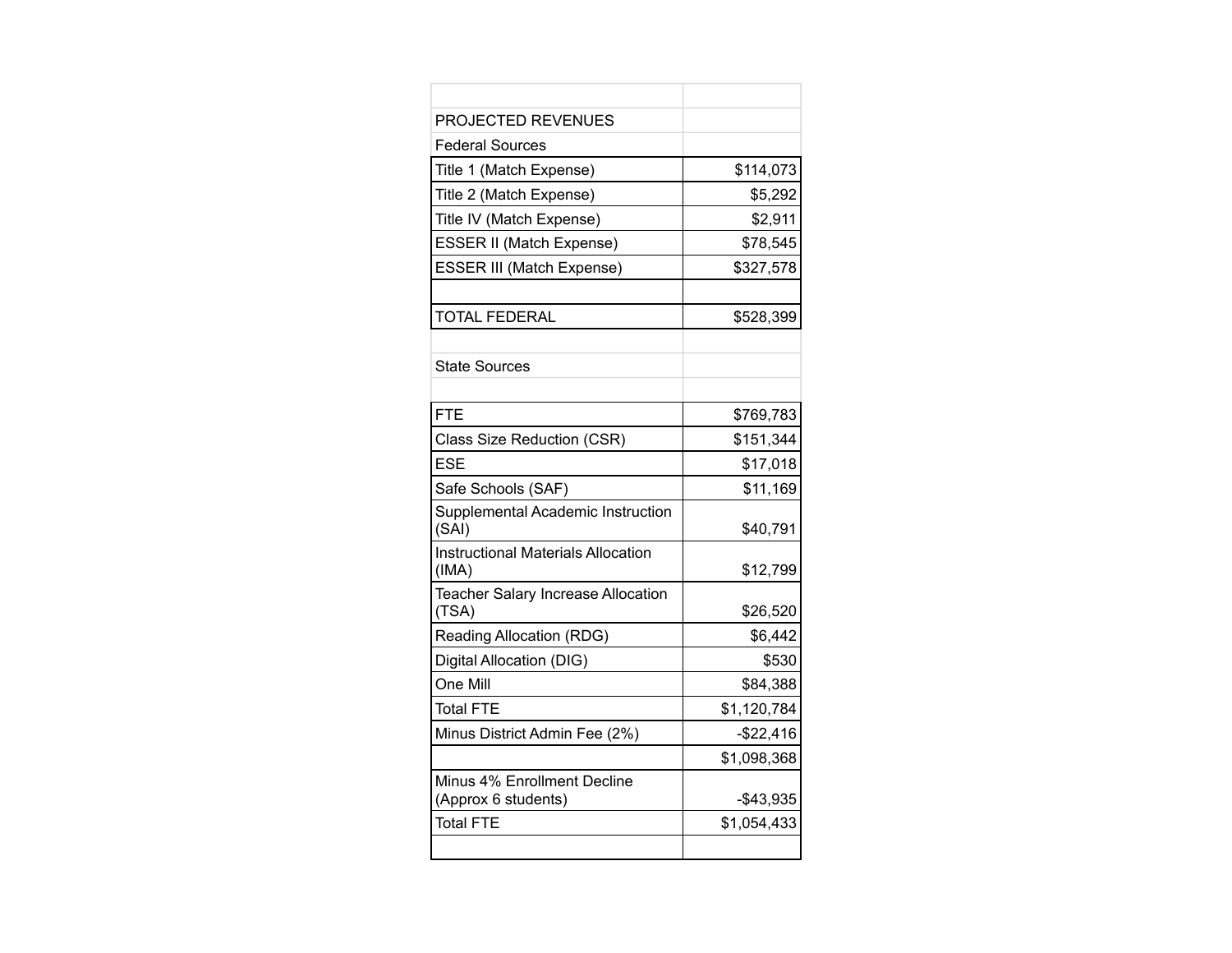| <b>PROJECTED REVENUES</b>                          |             |
|----------------------------------------------------|-------------|
| <b>Federal Sources</b>                             |             |
| Title 1 (Match Expense)                            | \$114,073   |
| Title 2 (Match Expense)                            | \$5,292     |
| Title IV (Match Expense)                           | \$2,911     |
| <b>ESSER II (Match Expense)</b>                    | \$78,545    |
| ESSER III (Match Expense)                          | \$327,578   |
|                                                    |             |
| <b>TOTAL FEDERAL</b>                               | \$528,399   |
|                                                    |             |
| <b>State Sources</b>                               |             |
|                                                    |             |
| <b>FTE</b>                                         | \$769.783   |
| Class Size Reduction (CSR)                         | \$151,344   |
| <b>ESE</b>                                         | \$17,018    |
| Safe Schools (SAF)                                 | \$11,169    |
| Supplemental Academic Instruction<br>(SAI)         | \$40,791    |
| <b>Instructional Materials Allocation</b><br>(IMA) | \$12,799    |
| Teacher Salary Increase Allocation<br>(TSA)        | \$26,520    |
| Reading Allocation (RDG)                           | \$6,442     |
| Digital Allocation (DIG)                           | \$530       |
| One Mill                                           | \$84,388    |
| <b>Total FTE</b>                                   | \$1,120,784 |
| Minus District Admin Fee (2%)                      | $-$22,416$  |
|                                                    | \$1,098,368 |
| Minus 4% Enrollment Decline<br>(Approx 6 students) | $-$43,935$  |
| <b>Total FTE</b>                                   | \$1,054,433 |
|                                                    |             |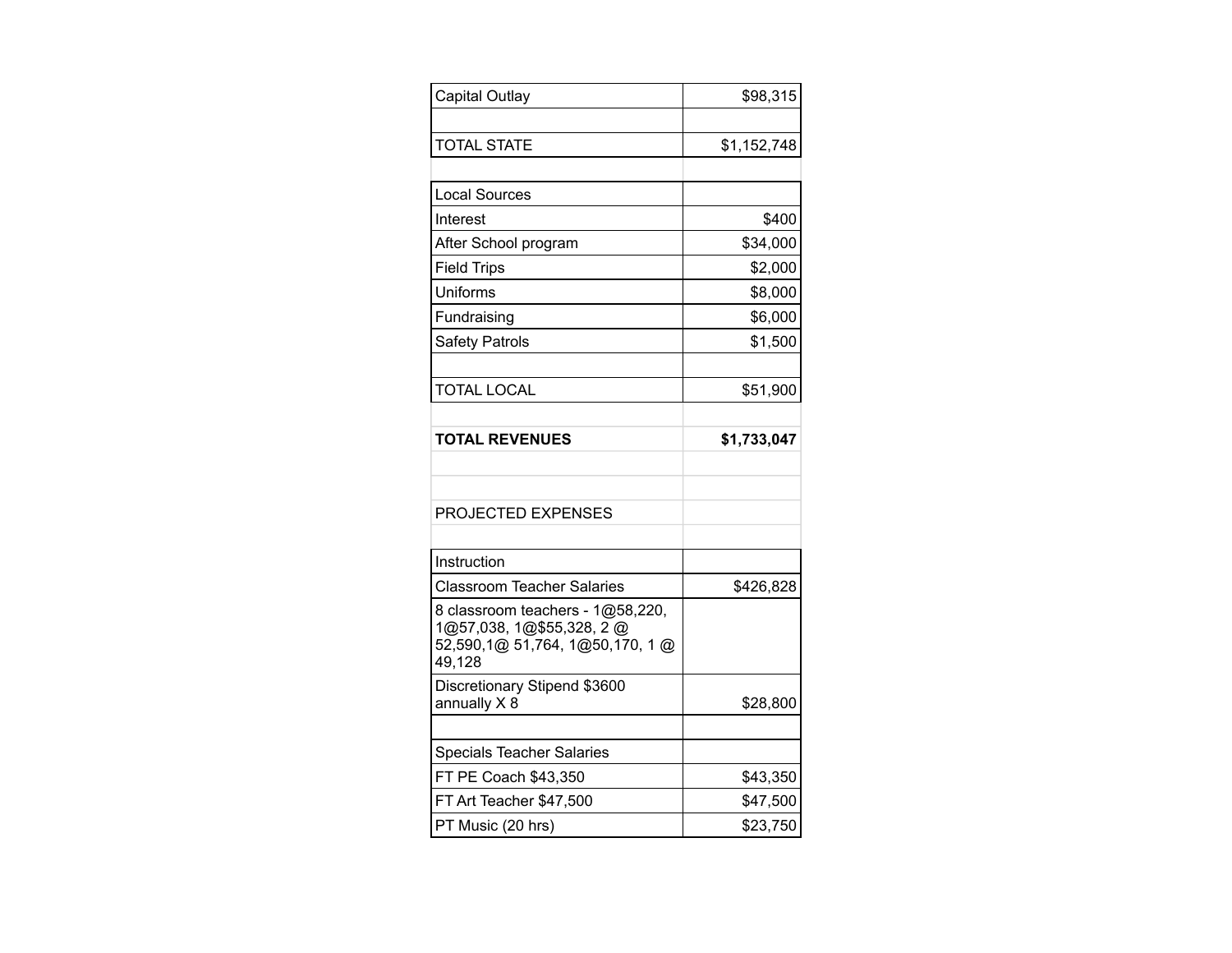| Capital Outlay                                               | \$98,315    |
|--------------------------------------------------------------|-------------|
| <b>TOTAL STATE</b>                                           | \$1,152,748 |
|                                                              |             |
| <b>Local Sources</b>                                         |             |
| Interest                                                     | \$400       |
| After School program                                         | \$34,000    |
| <b>Field Trips</b>                                           | \$2,000     |
| Uniforms                                                     | \$8,000     |
| Fundraising                                                  | \$6,000     |
| <b>Safety Patrols</b>                                        | \$1,500     |
|                                                              |             |
| <b>TOTAL LOCAL</b>                                           | \$51,900    |
|                                                              |             |
| <b>TOTAL REVENUES</b>                                        | \$1,733,047 |
|                                                              |             |
|                                                              |             |
| PROJECTED EXPENSES                                           |             |
|                                                              |             |
| Instruction                                                  |             |
| <b>Classroom Teacher Salaries</b>                            | \$426,828   |
| 8 classroom teachers - 1@58,220,<br>1@57,038, 1@\$55,328, 2@ |             |
| 52,590,1@ 51,764, 1@50,170, 1@                               |             |
| 49,128                                                       |             |
| Discretionary Stipend \$3600<br>annually X8                  | \$28,800    |
|                                                              |             |
| <b>Specials Teacher Salaries</b>                             |             |
| FT PE Coach \$43,350                                         | \$43,350    |
| FT Art Teacher \$47,500                                      | \$47,500    |
| PT Music (20 hrs)                                            | \$23,750    |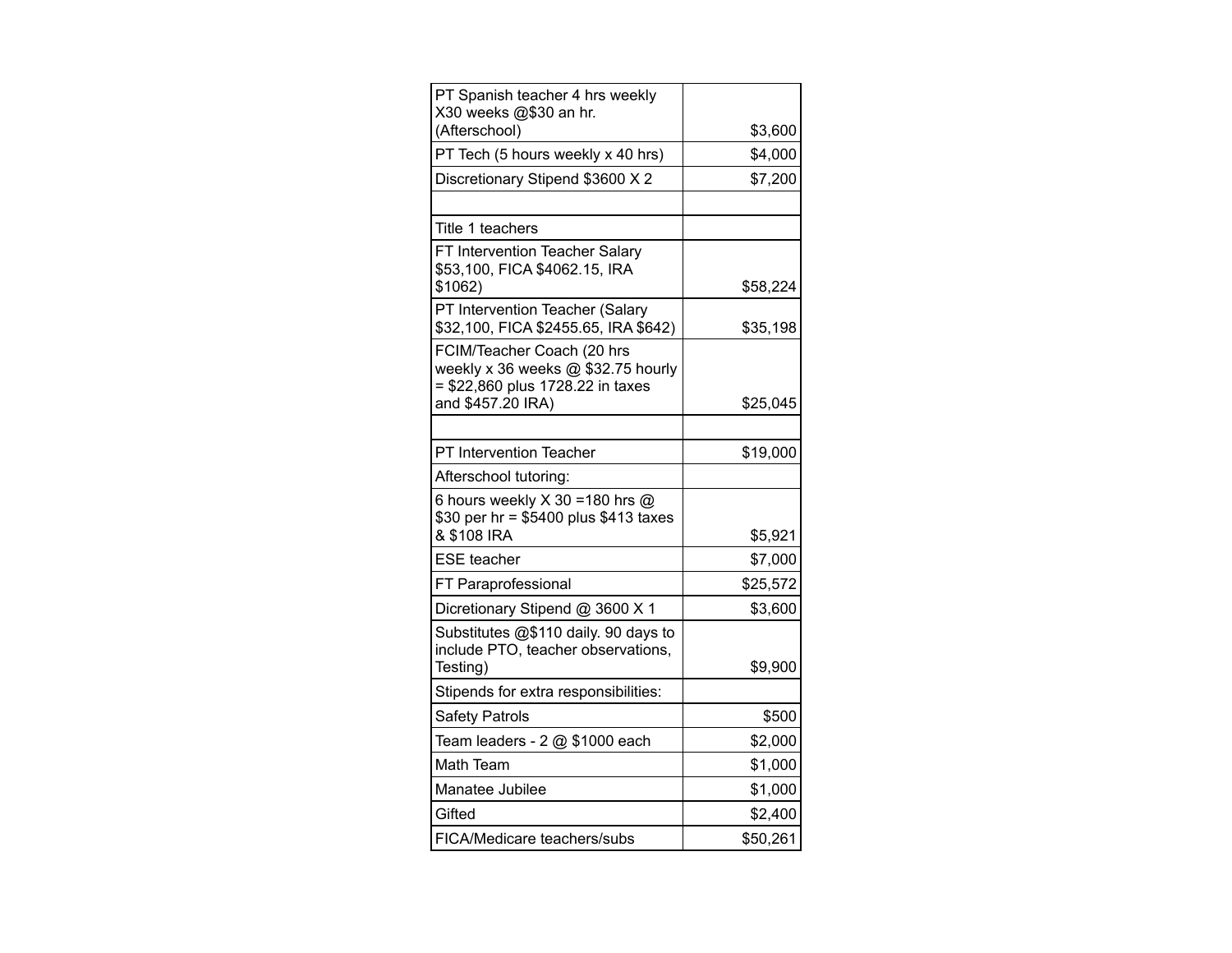| PT Spanish teacher 4 hrs weekly<br>X30 weeks @\$30 an hr.                                            |          |
|------------------------------------------------------------------------------------------------------|----------|
| (Afterschool)                                                                                        | \$3,600  |
| PT Tech (5 hours weekly x 40 hrs)                                                                    | \$4,000  |
| Discretionary Stipend \$3600 X 2                                                                     | \$7,200  |
|                                                                                                      |          |
| Title 1 teachers                                                                                     |          |
| FT Intervention Teacher Salary<br>\$53,100, FICA \$4062.15, IRA<br>\$1062)                           | \$58,224 |
| PT Intervention Teacher (Salary<br>\$32,100, FICA \$2455.65, IRA \$642)                              | \$35,198 |
| FCIM/Teacher Coach (20 hrs<br>weekly x 36 weeks @ \$32.75 hourly<br>= \$22,860 plus 1728.22 in taxes |          |
| and \$457.20 IRA)                                                                                    | \$25,045 |
| PT Intervention Teacher                                                                              | \$19,000 |
| Afterschool tutoring:                                                                                |          |
| 6 hours weekly X 30 = 180 hrs @<br>\$30 per hr = \$5400 plus \$413 taxes<br>& \$108 IRA              | \$5,921  |
| <b>ESE</b> teacher                                                                                   | \$7,000  |
| FT Paraprofessional                                                                                  | \$25,572 |
|                                                                                                      |          |
| Dicretionary Stipend @ 3600 X 1<br>Substitutes @\$110 daily. 90 days to                              | \$3,600  |
| include PTO, teacher observations,<br>Testing)                                                       | \$9,900  |
| Stipends for extra responsibilities:                                                                 |          |
| <b>Safety Patrols</b>                                                                                | \$500    |
| Team leaders - 2 @ \$1000 each                                                                       | \$2,000  |
| Math Team                                                                                            | \$1,000  |
| Manatee Jubilee                                                                                      | \$1,000  |
| Gifted                                                                                               | \$2,400  |
| FICA/Medicare teachers/subs                                                                          | \$50,261 |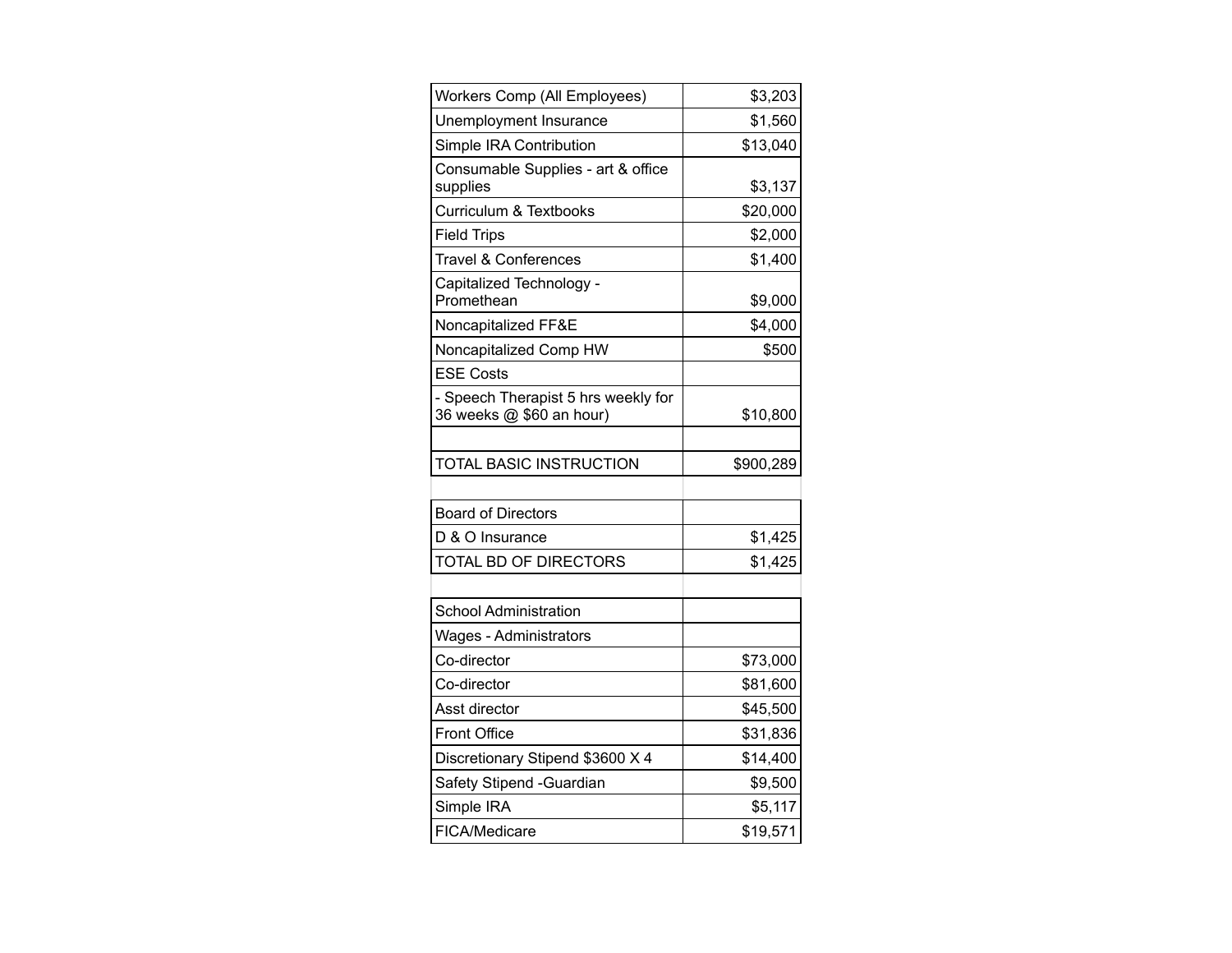| Workers Comp (All Employees)                                    | \$3,203   |
|-----------------------------------------------------------------|-----------|
| Unemployment Insurance                                          | \$1,560   |
| Simple IRA Contribution                                         | \$13,040  |
| Consumable Supplies - art & office<br>supplies                  | \$3,137   |
| Curriculum & Textbooks                                          | \$20,000  |
| <b>Field Trips</b>                                              | \$2,000   |
| <b>Travel &amp; Conferences</b>                                 | \$1,400   |
| Capitalized Technology -<br>Promethean                          | \$9,000   |
| Noncapitalized FF&E                                             | \$4,000   |
| Noncapitalized Comp HW                                          | \$500     |
| <b>ESE Costs</b>                                                |           |
| - Speech Therapist 5 hrs weekly for<br>36 weeks @ \$60 an hour) | \$10,800  |
|                                                                 |           |
| <b>TOTAL BASIC INSTRUCTION</b>                                  | \$900,289 |
|                                                                 |           |
| <b>Board of Directors</b>                                       |           |
| D & O Insurance                                                 | \$1,425   |
| TOTAL BD OF DIRECTORS                                           | \$1,425   |
|                                                                 |           |
| <b>School Administration</b>                                    |           |
| Wages - Administrators                                          |           |
| Co-director                                                     | \$73,000  |
| Co-director                                                     | \$81,600  |
| Asst director                                                   | \$45,500  |
| <b>Front Office</b>                                             | \$31,836  |
| Discretionary Stipend \$3600 X 4                                | \$14,400  |
| Safety Stipend - Guardian                                       | \$9,500   |
| Simple IRA                                                      | \$5,117   |
| FICA/Medicare                                                   | \$19,571  |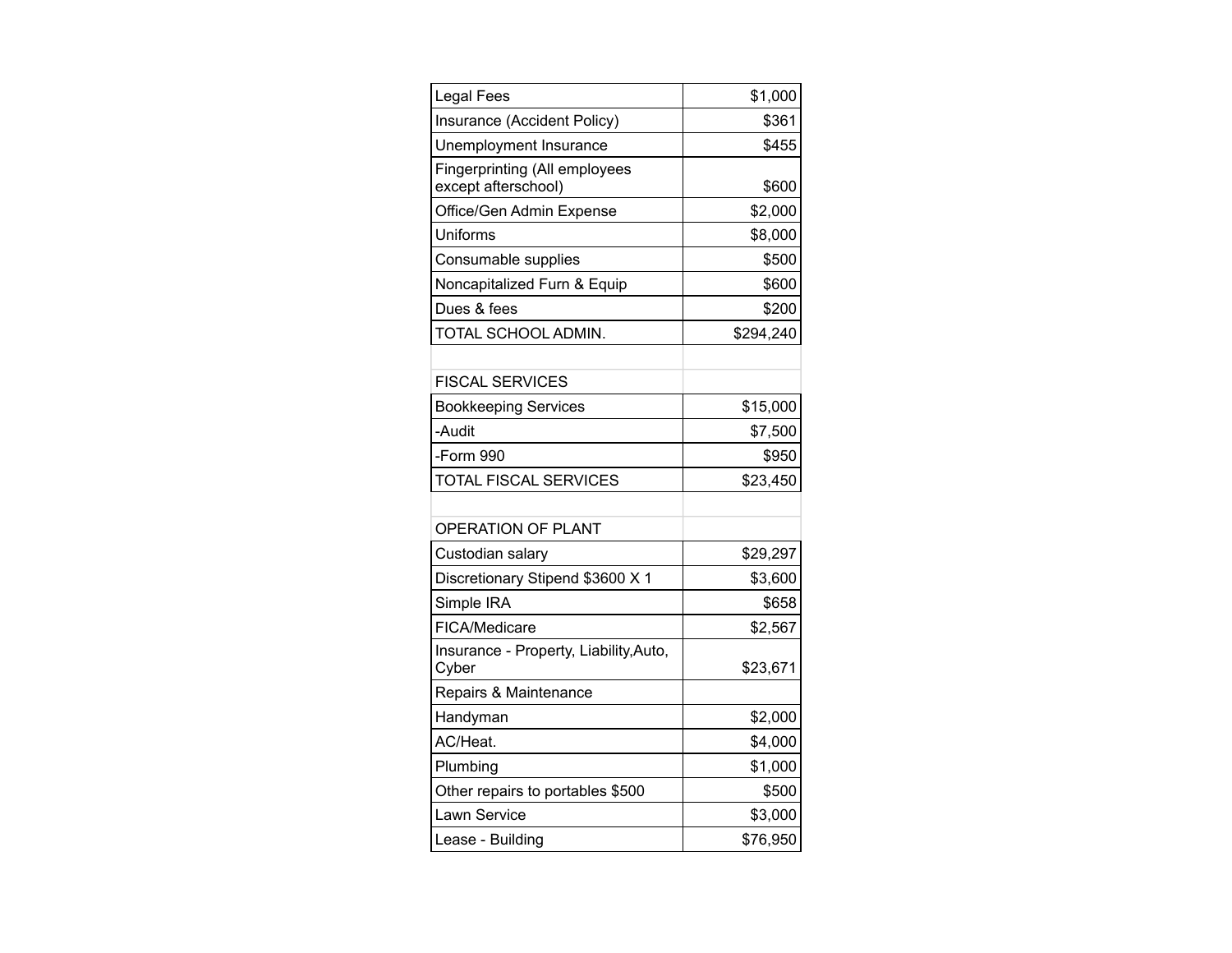| <b>Legal Fees</b>                                           | \$1,000   |
|-------------------------------------------------------------|-----------|
| Insurance (Accident Policy)                                 | \$361     |
| Unemployment Insurance                                      | \$455     |
| <b>Fingerprinting (All employees</b><br>except afterschool) | \$600     |
| Office/Gen Admin Expense                                    | \$2,000   |
| Uniforms                                                    | \$8,000   |
| Consumable supplies                                         | \$500     |
| Noncapitalized Furn & Equip                                 | \$600     |
| Dues & fees                                                 | \$200     |
| TOTAL SCHOOL ADMIN.                                         | \$294,240 |
|                                                             |           |
| <b>FISCAL SERVICES</b>                                      |           |
| <b>Bookkeeping Services</b>                                 | \$15,000  |
| -Audit                                                      | \$7,500   |
| -Form 990                                                   | \$950     |
| <b>TOTAL FISCAL SERVICES</b>                                | \$23,450  |
|                                                             |           |
| OPERATION OF PLANT                                          |           |
| Custodian salary                                            | \$29,297  |
| Discretionary Stipend \$3600 X 1                            | \$3,600   |
| Simple IRA                                                  | \$658     |
| FICA/Medicare                                               | \$2,567   |
| Insurance - Property, Liability, Auto,<br>Cyber             | \$23,671  |
| Repairs & Maintenance                                       |           |
| Handyman                                                    | \$2,000   |
| AC/Heat.                                                    | \$4,000   |
| Plumbing                                                    | \$1,000   |
| Other repairs to portables \$500                            | \$500     |
| Lawn Service                                                | \$3,000   |
| Lease - Building                                            | \$76,950  |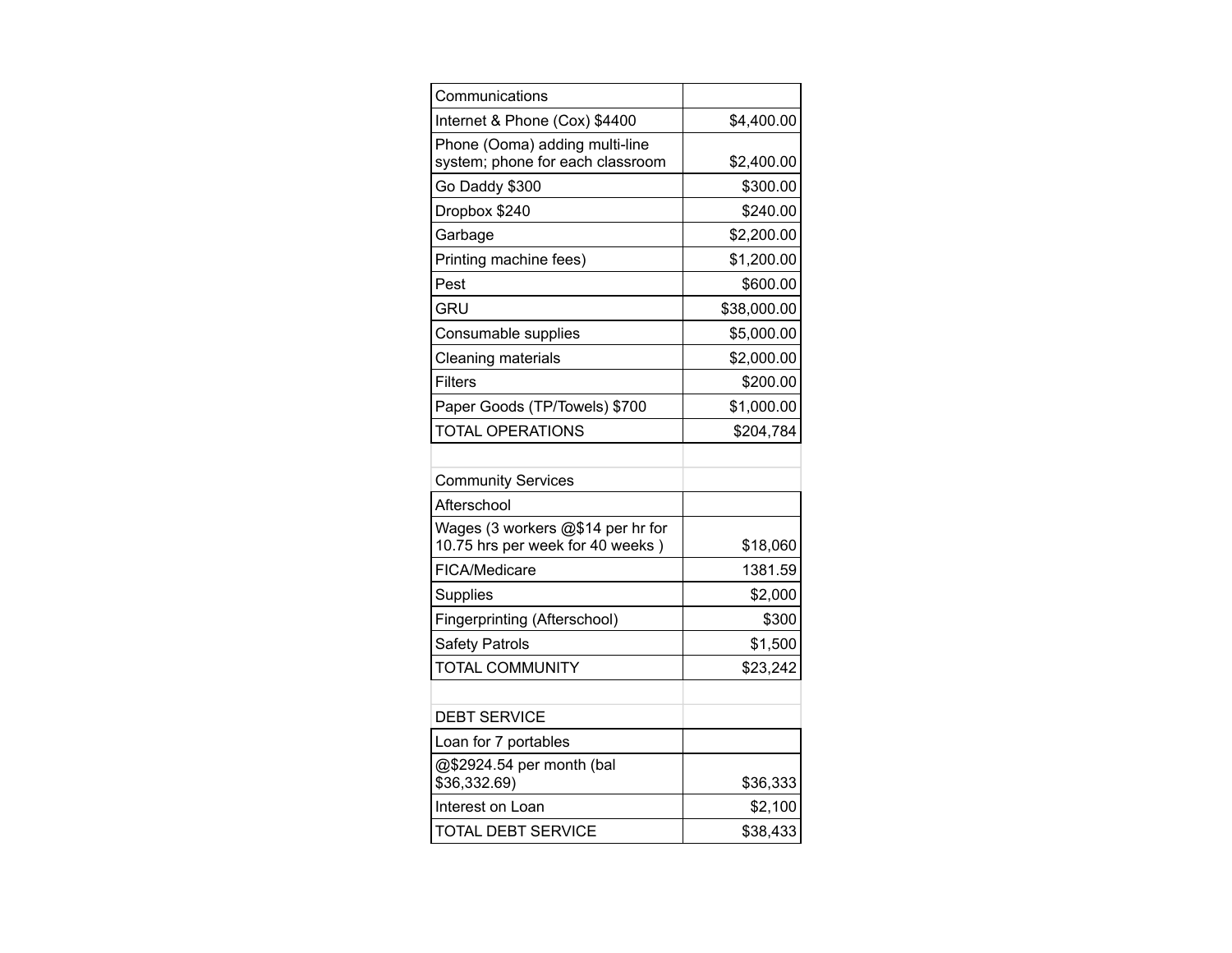| Communications                                                        |             |
|-----------------------------------------------------------------------|-------------|
| Internet & Phone (Cox) \$4400                                         | \$4,400.00  |
| Phone (Ooma) adding multi-line<br>system; phone for each classroom    | \$2,400.00  |
| Go Daddy \$300                                                        | \$300.00    |
| Dropbox \$240                                                         | \$240.00    |
| Garbage                                                               | \$2,200.00  |
| Printing machine fees)                                                | \$1,200.00  |
| Pest                                                                  | \$600.00    |
| GRU                                                                   | \$38,000.00 |
| Consumable supplies                                                   | \$5,000.00  |
| <b>Cleaning materials</b>                                             | \$2,000.00  |
| Filters                                                               | \$200.00    |
| Paper Goods (TP/Towels) \$700                                         | \$1,000.00  |
| <b>TOTAL OPERATIONS</b>                                               | \$204,784   |
|                                                                       |             |
| <b>Community Services</b>                                             |             |
| Afterschool                                                           |             |
| Wages (3 workers @\$14 per hr for<br>10.75 hrs per week for 40 weeks) | \$18,060    |
| FICA/Medicare                                                         | 1381.59     |
| <b>Supplies</b>                                                       | \$2,000     |
| Fingerprinting (Afterschool)                                          | \$300       |
| <b>Safety Patrols</b>                                                 | \$1,500     |
| <b>TOTAL COMMUNITY</b>                                                | \$23,242    |
|                                                                       |             |
| <b>DEBT SERVICE</b>                                                   |             |
| Loan for 7 portables                                                  |             |
| @\$2924.54 per month (bal<br>\$36,332.69)                             | \$36,333    |
| Interest on Loan                                                      | \$2,100     |
| <b>TOTAL DEBT SERVICE</b>                                             | \$38,433    |